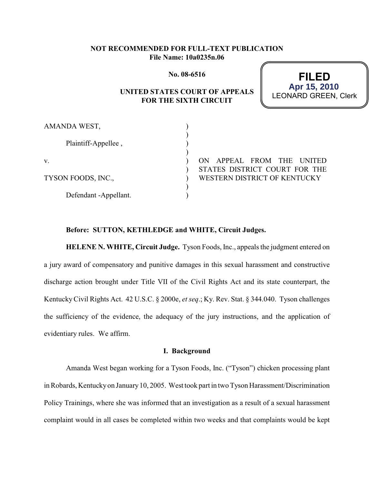## **NOT RECOMMENDED FOR FULL-TEXT PUBLICATION File Name: 10a0235n.06**

**No. 08-6516**

# **UNITED STATES COURT OF APPEALS FOR THE SIXTH CIRCUIT**

**FILED** LEONARD GREEN, Clerk **Apr 15, 2010**

| AMANDA WEST,          |                               |
|-----------------------|-------------------------------|
| Plaintiff-Appellee,   |                               |
|                       |                               |
| V.                    | ON APPEAL FROM THE UNITED     |
|                       | STATES DISTRICT COURT FOR THE |
| TYSON FOODS, INC.,    | WESTERN DISTRICT OF KENTUCKY  |
|                       |                               |
| Defendant -Appellant. |                               |

#### **Before: SUTTON, KETHLEDGE and WHITE, Circuit Judges.**

**HELENE N. WHITE, Circuit Judge.** Tyson Foods, Inc., appeals the judgment entered on a jury award of compensatory and punitive damages in this sexual harassment and constructive discharge action brought under Title VII of the Civil Rights Act and its state counterpart, the Kentucky Civil Rights Act. 42 U.S.C. § 2000e, *et seq*.; Ky. Rev. Stat. § 344.040. Tyson challenges the sufficiency of the evidence, the adequacy of the jury instructions, and the application of evidentiary rules. We affirm.

#### **I. Background**

Amanda West began working for a Tyson Foods, Inc. ("Tyson") chicken processing plant in Robards, Kentucky on January 10, 2005. West took part in two Tyson Harassment/Discrimination Policy Trainings, where she was informed that an investigation as a result of a sexual harassment complaint would in all cases be completed within two weeks and that complaints would be kept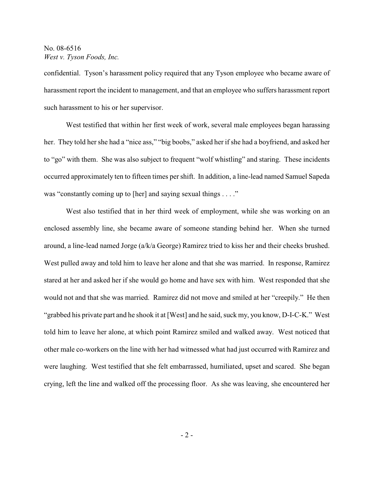confidential. Tyson's harassment policy required that any Tyson employee who became aware of harassment report the incident to management, and that an employee who suffers harassment report such harassment to his or her supervisor.

West testified that within her first week of work, several male employees began harassing her. They told her she had a "nice ass," "big boobs," asked her if she had a boyfriend, and asked her to "go" with them. She was also subject to frequent "wolf whistling" and staring. These incidents occurred approximately ten to fifteen times per shift. In addition, a line-lead named Samuel Sapeda was "constantly coming up to [her] and saying sexual things . . . ."

West also testified that in her third week of employment, while she was working on an enclosed assembly line, she became aware of someone standing behind her. When she turned around, a line-lead named Jorge (a/k/a George) Ramirez tried to kiss her and their cheeks brushed. West pulled away and told him to leave her alone and that she was married. In response, Ramirez stared at her and asked her if she would go home and have sex with him. West responded that she would not and that she was married. Ramirez did not move and smiled at her "creepily." He then "grabbed his private part and he shook it at [West] and he said, suck my, you know, D-I-C-K." West told him to leave her alone, at which point Ramirez smiled and walked away. West noticed that other male co-workers on the line with her had witnessed what had just occurred with Ramirez and were laughing. West testified that she felt embarrassed, humiliated, upset and scared. She began crying, left the line and walked off the processing floor. As she was leaving, she encountered her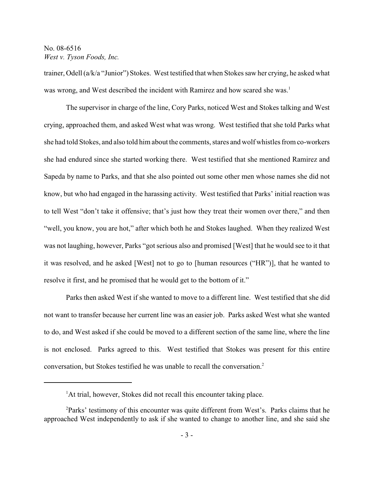trainer, Odell (a/k/a "Junior") Stokes. West testified that when Stokes saw her crying, he asked what was wrong, and West described the incident with Ramirez and how scared she was.<sup>1</sup>

The supervisor in charge of the line, Cory Parks, noticed West and Stokes talking and West crying, approached them, and asked West what was wrong. West testified that she told Parks what she had told Stokes, and also told him about the comments, stares and wolf whistles from co-workers she had endured since she started working there. West testified that she mentioned Ramirez and Sapeda by name to Parks, and that she also pointed out some other men whose names she did not know, but who had engaged in the harassing activity. West testified that Parks' initial reaction was to tell West "don't take it offensive; that's just how they treat their women over there," and then "well, you know, you are hot," after which both he and Stokes laughed. When they realized West was not laughing, however, Parks "got serious also and promised [West] that he would see to it that it was resolved, and he asked [West] not to go to [human resources ("HR")], that he wanted to resolve it first, and he promised that he would get to the bottom of it."

Parks then asked West if she wanted to move to a different line. West testified that she did not want to transfer because her current line was an easier job. Parks asked West what she wanted to do, and West asked if she could be moved to a different section of the same line, where the line is not enclosed. Parks agreed to this. West testified that Stokes was present for this entire conversation, but Stokes testified he was unable to recall the conversation.2

<sup>&</sup>lt;sup>1</sup>At trial, however, Stokes did not recall this encounter taking place.

<sup>&</sup>lt;sup>2</sup>Parks' testimony of this encounter was quite different from West's. Parks claims that he approached West independently to ask if she wanted to change to another line, and she said she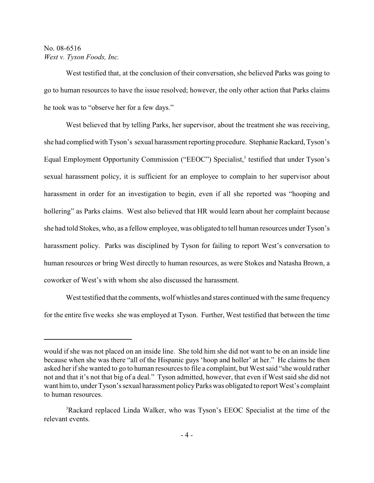West testified that, at the conclusion of their conversation, she believed Parks was going to go to human resources to have the issue resolved; however, the only other action that Parks claims he took was to "observe her for a few days."

West believed that by telling Parks, her supervisor, about the treatment she was receiving, she had complied with Tyson's sexual harassment reporting procedure. Stephanie Rackard, Tyson's Equal Employment Opportunity Commission ("EEOC") Specialist,<sup>3</sup> testified that under Tyson's sexual harassment policy, it is sufficient for an employee to complain to her supervisor about harassment in order for an investigation to begin, even if all she reported was "hooping and hollering" as Parks claims. West also believed that HR would learn about her complaint because she had told Stokes, who, as a fellow employee, was obligated to tell human resources under Tyson's harassment policy. Parks was disciplined by Tyson for failing to report West's conversation to human resources or bring West directly to human resources, as were Stokes and Natasha Brown, a coworker of West's with whom she also discussed the harassment.

West testified that the comments, wolf whistles and stares continued with the same frequency for the entire five weeks she was employed at Tyson. Further, West testified that between the time

would if she was not placed on an inside line. She told him she did not want to be on an inside line because when she was there "all of the Hispanic guys 'hoop and holler' at her." He claims he then asked her if she wanted to go to human resources to file a complaint, but West said "she would rather not and that it's not that big of a deal." Tyson admitted, however, that even if West said she did not want him to, under Tyson's sexual harassment policy Parks was obligated to report West's complaint to human resources.

<sup>&</sup>lt;sup>3</sup>Rackard replaced Linda Walker, who was Tyson's EEOC Specialist at the time of the relevant events.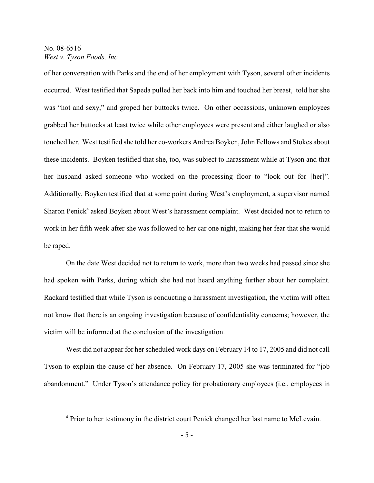of her conversation with Parks and the end of her employment with Tyson, several other incidents occurred. West testified that Sapeda pulled her back into him and touched her breast, told her she was "hot and sexy," and groped her buttocks twice. On other occassions, unknown employees grabbed her buttocks at least twice while other employees were present and either laughed or also touched her. West testified she told her co-workers Andrea Boyken, John Fellows and Stokes about these incidents. Boyken testified that she, too, was subject to harassment while at Tyson and that her husband asked someone who worked on the processing floor to "look out for [her]". Additionally, Boyken testified that at some point during West's employment, a supervisor named Sharon Penick<sup>4</sup> asked Boyken about West's harassment complaint. West decided not to return to work in her fifth week after she was followed to her car one night, making her fear that she would be raped.

On the date West decided not to return to work, more than two weeks had passed since she had spoken with Parks, during which she had not heard anything further about her complaint. Rackard testified that while Tyson is conducting a harassment investigation, the victim will often not know that there is an ongoing investigation because of confidentiality concerns; however, the victim will be informed at the conclusion of the investigation.

West did not appear for her scheduled work days on February 14 to 17, 2005 and did not call Tyson to explain the cause of her absence. On February 17, 2005 she was terminated for "job abandonment." Under Tyson's attendance policy for probationary employees (i.e., employees in

<sup>&</sup>lt;sup>4</sup> Prior to her testimony in the district court Penick changed her last name to McLevain.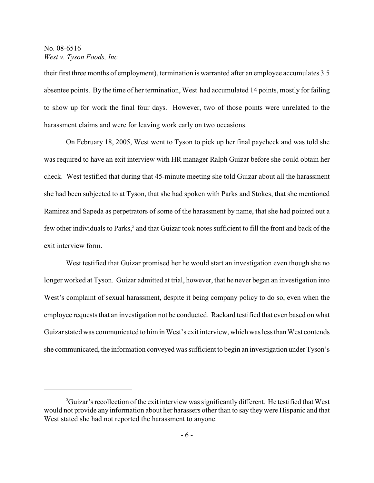their first three months of employment), termination is warranted after an employee accumulates 3.5 absentee points. By the time of her termination, West had accumulated 14 points, mostly for failing to show up for work the final four days. However, two of those points were unrelated to the harassment claims and were for leaving work early on two occasions.

On February 18, 2005, West went to Tyson to pick up her final paycheck and was told she was required to have an exit interview with HR manager Ralph Guizar before she could obtain her check. West testified that during that 45-minute meeting she told Guizar about all the harassment she had been subjected to at Tyson, that she had spoken with Parks and Stokes, that she mentioned Ramirez and Sapeda as perpetrators of some of the harassment by name, that she had pointed out a few other individuals to Parks,<sup>5</sup> and that Guizar took notes sufficient to fill the front and back of the exit interview form.

West testified that Guizar promised her he would start an investigation even though she no longer worked at Tyson. Guizar admitted at trial, however, that he never began an investigation into West's complaint of sexual harassment, despite it being company policy to do so, even when the employee requests that an investigation not be conducted. Rackard testified that even based on what Guizar stated was communicated to him in West's exit interview, which was less than West contends she communicated, the information conveyed was sufficient to begin an investigation under Tyson's

 ${}^5$ Guizar's recollection of the exit interview was significantly different. He testified that West would not provide any information about her harassers other than to say they were Hispanic and that West stated she had not reported the harassment to anyone.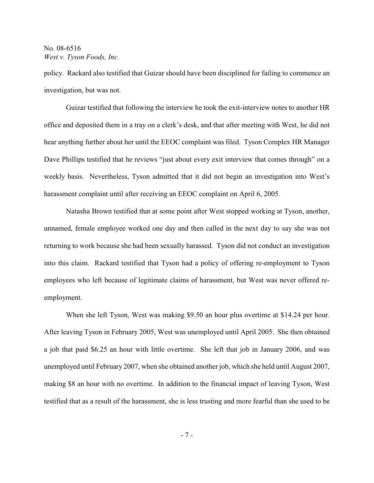policy. Rackard also testified that Guizar should have been disciplined for failing to commence an investigation, but was not.

Guizar testified that following the interview he took the exit-interview notes to another HR office and deposited them in a tray on a clerk's desk, and that after meeting with West, he did not hear anything further about her until the EEOC complaint was filed. Tyson Complex HR Manager Dave Phillips testified that he reviews "just about every exit interview that comes through" on a weekly basis. Nevertheless, Tyson admitted that it did not begin an investigation into West's harassment complaint until after receiving an EEOC complaint on April 6, 2005.

Natasha Brown testified that at some point after West stopped working at Tyson, another, unnamed, female employee worked one day and then called in the next day to say she was not returning to work because she had been sexually harassed. Tyson did not conduct an investigation into this claim. Rackard testified that Tyson had a policy of offering re-employment to Tyson employees who left because of legitimate claims of harassment, but West was never offered reemployment.

When she left Tyson, West was making \$9.50 an hour plus overtime at \$14.24 per hour. After leaving Tyson in February 2005, West was unemployed until April 2005. She then obtained a job that paid \$6.25 an hour with little overtime. She left that job in January 2006, and was unemployed until February 2007, when she obtained another job, which she held until August 2007, making \$8 an hour with no overtime. In addition to the financial impact of leaving Tyson, West testified that as a result of the harassment, she is less trusting and more fearful than she used to be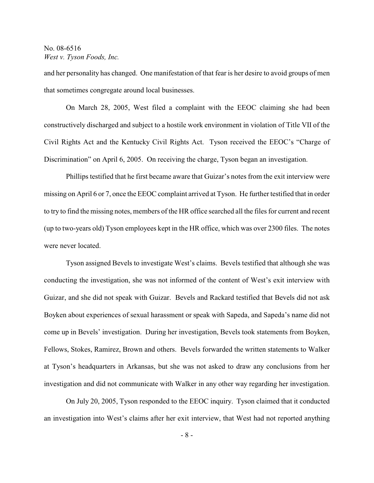and her personality has changed. One manifestation of that fear is her desire to avoid groups of men that sometimes congregate around local businesses.

On March 28, 2005, West filed a complaint with the EEOC claiming she had been constructively discharged and subject to a hostile work environment in violation of Title VII of the Civil Rights Act and the Kentucky Civil Rights Act. Tyson received the EEOC's "Charge of Discrimination" on April 6, 2005. On receiving the charge, Tyson began an investigation.

Phillips testified that he first became aware that Guizar's notes from the exit interview were missing on April 6 or 7, once the EEOC complaint arrived at Tyson. He further testified that in order to try to find the missing notes, members of the HR office searched all the files for current and recent (up to two-years old) Tyson employees kept in the HR office, which was over 2300 files. The notes were never located.

Tyson assigned Bevels to investigate West's claims. Bevels testified that although she was conducting the investigation, she was not informed of the content of West's exit interview with Guizar, and she did not speak with Guizar. Bevels and Rackard testified that Bevels did not ask Boyken about experiences of sexual harassment or speak with Sapeda, and Sapeda's name did not come up in Bevels' investigation. During her investigation, Bevels took statements from Boyken, Fellows, Stokes, Ramirez, Brown and others. Bevels forwarded the written statements to Walker at Tyson's headquarters in Arkansas, but she was not asked to draw any conclusions from her investigation and did not communicate with Walker in any other way regarding her investigation.

On July 20, 2005, Tyson responded to the EEOC inquiry. Tyson claimed that it conducted an investigation into West's claims after her exit interview, that West had not reported anything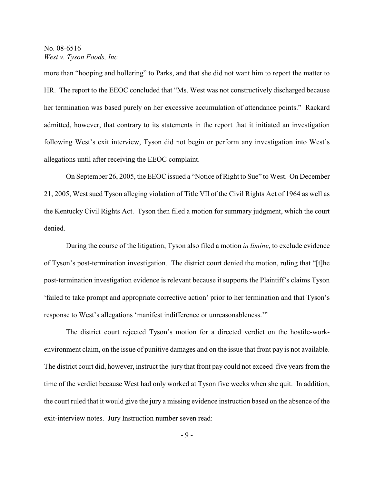more than "hooping and hollering" to Parks, and that she did not want him to report the matter to HR. The report to the EEOC concluded that "Ms. West was not constructively discharged because her termination was based purely on her excessive accumulation of attendance points." Rackard admitted, however, that contrary to its statements in the report that it initiated an investigation following West's exit interview, Tyson did not begin or perform any investigation into West's allegations until after receiving the EEOC complaint.

On September 26, 2005, the EEOC issued a "Notice of Right to Sue" to West. On December 21, 2005, West sued Tyson alleging violation of Title VII of the Civil Rights Act of 1964 as well as the Kentucky Civil Rights Act. Tyson then filed a motion for summary judgment, which the court denied.

During the course of the litigation, Tyson also filed a motion *in limine*, to exclude evidence of Tyson's post-termination investigation. The district court denied the motion, ruling that "[t]he post-termination investigation evidence is relevant because it supports the Plaintiff's claims Tyson 'failed to take prompt and appropriate corrective action' prior to her termination and that Tyson's response to West's allegations 'manifest indifference or unreasonableness.'"

The district court rejected Tyson's motion for a directed verdict on the hostile-workenvironment claim, on the issue of punitive damages and on the issue that front pay is not available. The district court did, however, instruct the jury that front pay could not exceed five years from the time of the verdict because West had only worked at Tyson five weeks when she quit. In addition, the court ruled that it would give the jury a missing evidence instruction based on the absence of the exit-interview notes. Jury Instruction number seven read: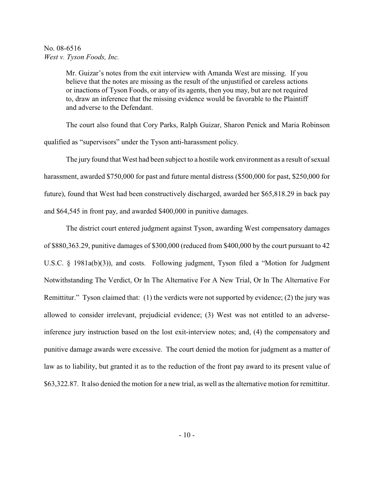Mr. Guizar's notes from the exit interview with Amanda West are missing. If you believe that the notes are missing as the result of the unjustified or careless actions or inactions of Tyson Foods, or any of its agents, then you may, but are not required to, draw an inference that the missing evidence would be favorable to the Plaintiff and adverse to the Defendant.

The court also found that Cory Parks, Ralph Guizar, Sharon Penick and Maria Robinson qualified as "supervisors" under the Tyson anti-harassment policy.

The jury found that West had been subject to a hostile work environment as a result of sexual harassment, awarded \$750,000 for past and future mental distress (\$500,000 for past, \$250,000 for future), found that West had been constructively discharged, awarded her \$65,818.29 in back pay and \$64,545 in front pay, and awarded \$400,000 in punitive damages.

The district court entered judgment against Tyson, awarding West compensatory damages of \$880,363.29, punitive damages of \$300,000 (reduced from \$400,000 by the court pursuant to 42 U.S.C. § 1981a(b)(3)), and costs. Following judgment, Tyson filed a "Motion for Judgment Notwithstanding The Verdict, Or In The Alternative For A New Trial, Or In The Alternative For Remittitur." Tyson claimed that: (1) the verdicts were not supported by evidence; (2) the jury was allowed to consider irrelevant, prejudicial evidence; (3) West was not entitled to an adverseinference jury instruction based on the lost exit-interview notes; and, (4) the compensatory and punitive damage awards were excessive. The court denied the motion for judgment as a matter of law as to liability, but granted it as to the reduction of the front pay award to its present value of \$63,322.87. It also denied the motion for a new trial, as well as the alternative motion for remittitur.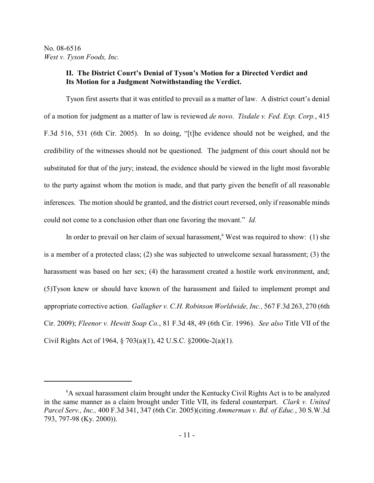## **II. The District Court's Denial of Tyson's Motion for a Directed Verdict and Its Motion for a Judgment Notwithstanding the Verdict.**

Tyson first asserts that it was entitled to prevail as a matter of law. A district court's denial of a motion for judgment as a matter of law is reviewed *de novo*. *Tisdale v. Fed. Exp. Corp.*, 415 F.3d 516, 531 (6th Cir. 2005). In so doing, "[t]he evidence should not be weighed, and the credibility of the witnesses should not be questioned. The judgment of this court should not be substituted for that of the jury; instead, the evidence should be viewed in the light most favorable to the party against whom the motion is made, and that party given the benefit of all reasonable inferences. The motion should be granted, and the district court reversed, only if reasonable minds could not come to a conclusion other than one favoring the movant." *Id.*

In order to prevail on her claim of sexual harassment, <sup>6</sup> West was required to show: (1) she is a member of a protected class; (2) she was subjected to unwelcome sexual harassment; (3) the harassment was based on her sex; (4) the harassment created a hostile work environment, and; (5)Tyson knew or should have known of the harassment and failed to implement prompt and appropriate corrective action. *Gallagher v. C.H. Robinson Worldwide, Inc.,* 567 F.3d 263, 270 (6th Cir. 2009); *Fleenor v. Hewitt Soap Co.*, 81 F.3d 48, 49 (6th Cir. 1996). *See also* Title VII of the Civil Rights Act of 1964, § 703(a)(1), 42 U.S.C. §2000e-2(a)(1).

<sup>&</sup>lt;sup>6</sup>A sexual harassment claim brought under the Kentucky Civil Rights Act is to be analyzed in the same manner as a claim brought under Title VII, its federal counterpart. *Clark v. United Parcel Serv., Inc.,* 400 F.3d 341, 347 (6th Cir. 2005)(citing *Ammerman v. Bd. of Educ.*, 30 S.W.3d 793, 797-98 (Ky. 2000)).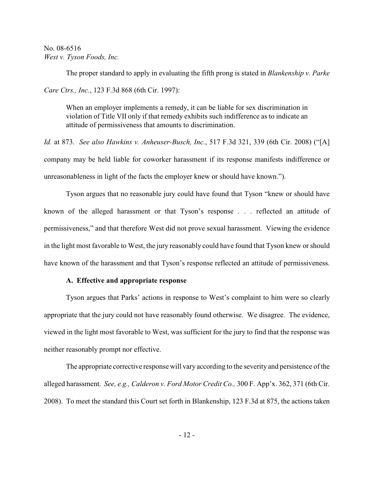The proper standard to apply in evaluating the fifth prong is stated in *Blankenship v. Parke Care Ctrs., Inc.*, 123 F.3d 868 (6th Cir. 1997):

When an employer implements a remedy, it can be liable for sex discrimination in violation of Title VII only if that remedy exhibits such indifference as to indicate an attitude of permissiveness that amounts to discrimination.

*Id.* at 873. *See also Hawkins v. Anheuser-Busch, Inc.*, 517 F.3d 321, 339 (6th Cir. 2008) ("[A] company may be held liable for coworker harassment if its response manifests indifference or unreasonableness in light of the facts the employer knew or should have known.").

Tyson argues that no reasonable jury could have found that Tyson "knew or should have known of the alleged harassment or that Tyson's response . . . reflected an attitude of permissiveness," and that therefore West did not prove sexual harassment. Viewing the evidence in the light most favorable to West, the jury reasonably could have found that Tyson knew or should have known of the harassment and that Tyson's response reflected an attitude of permissiveness.

## **A. Effective and appropriate response**

Tyson argues that Parks' actions in response to West's complaint to him were so clearly appropriate that the jury could not have reasonably found otherwise. We disagree. The evidence, viewed in the light most favorable to West, was sufficient for the jury to find that the response was neither reasonably prompt nor effective.

The appropriate corrective response will vary according to the severity and persistence of the alleged harassment. *See, e.g., Calderon v. Ford Motor Credit Co.,* 300 F. App'x. 362, 371 (6th Cir. 2008). To meet the standard this Court set forth in Blankenship, 123 F.3d at 875, the actions taken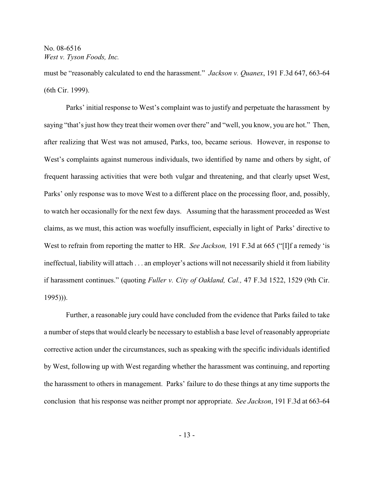must be "reasonably calculated to end the harassment." *Jackson v. Quanex*, 191 F.3d 647, 663-64 (6th Cir. 1999).

Parks' initial response to West's complaint was to justify and perpetuate the harassment by saying "that's just how they treat their women over there" and "well, you know, you are hot." Then, after realizing that West was not amused, Parks, too, became serious. However, in response to West's complaints against numerous individuals, two identified by name and others by sight, of frequent harassing activities that were both vulgar and threatening, and that clearly upset West, Parks' only response was to move West to a different place on the processing floor, and, possibly, to watch her occasionally for the next few days. Assuming that the harassment proceeded as West claims, as we must, this action was woefully insufficient, especially in light of Parks' directive to West to refrain from reporting the matter to HR. *See Jackson,* 191 F.3d at 665 ("[I]f a remedy 'is ineffectual, liability will attach . . . an employer's actions will not necessarily shield it from liability if harassment continues." (quoting *Fuller v. City of Oakland, Cal.,* 47 F.3d 1522, 1529 (9th Cir. 1995))).

Further, a reasonable jury could have concluded from the evidence that Parks failed to take a number of steps that would clearly be necessary to establish a base level of reasonably appropriate corrective action under the circumstances, such as speaking with the specific individuals identified by West, following up with West regarding whether the harassment was continuing, and reporting the harassment to others in management. Parks' failure to do these things at any time supports the conclusion that his response was neither prompt nor appropriate. *See Jackson*, 191 F.3d at 663-64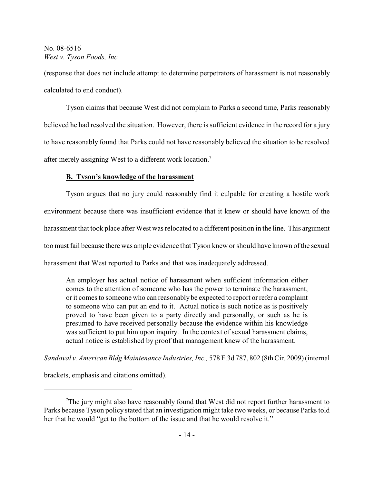(response that does not include attempt to determine perpetrators of harassment is not reasonably calculated to end conduct).

Tyson claims that because West did not complain to Parks a second time, Parks reasonably believed he had resolved the situation. However, there is sufficient evidence in the record for a jury to have reasonably found that Parks could not have reasonably believed the situation to be resolved after merely assigning West to a different work location.<sup>7</sup>

### **B. Tyson's knowledge of the harassment**

Tyson argues that no jury could reasonably find it culpable for creating a hostile work environment because there was insufficient evidence that it knew or should have known of the harassment that took place after West was relocated to a different position in the line. This argument too must fail because there was ample evidence that Tyson knew or should have known of the sexual harassment that West reported to Parks and that was inadequately addressed.

An employer has actual notice of harassment when sufficient information either comes to the attention of someone who has the power to terminate the harassment, or it comes to someone who can reasonably be expected to report or refer a complaint to someone who can put an end to it. Actual notice is such notice as is positively proved to have been given to a party directly and personally, or such as he is presumed to have received personally because the evidence within his knowledge was sufficient to put him upon inquiry. In the context of sexual harassment claims, actual notice is established by proof that management knew of the harassment.

*Sandoval v. American Bldg Maintenance Industries, Inc.,* 578 F.3d 787, 802 (8th Cir. 2009) (internal

brackets, emphasis and citations omitted).

 $T$ The jury might also have reasonably found that West did not report further harassment to Parks because Tyson policy stated that an investigation might take two weeks, or because Parks told her that he would "get to the bottom of the issue and that he would resolve it."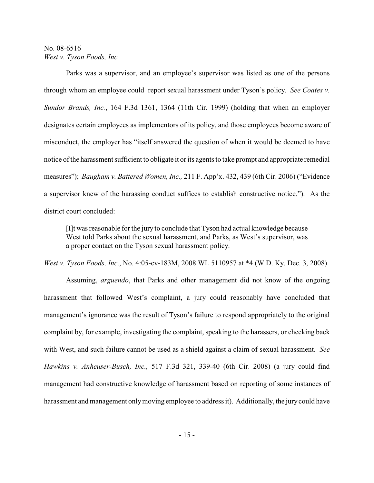Parks was a supervisor, and an employee's supervisor was listed as one of the persons through whom an employee could report sexual harassment under Tyson's policy. *See Coates v. Sundor Brands, Inc.*, 164 F.3d 1361, 1364 (11th Cir. 1999) (holding that when an employer designates certain employees as implementors of its policy, and those employees become aware of misconduct, the employer has "itself answered the question of when it would be deemed to have notice of the harassment sufficient to obligate it or its agents to take prompt and appropriate remedial measures"); *Baugham v. Battered Women, Inc.,* 211 F. App'x. 432, 439 (6th Cir. 2006) ("Evidence a supervisor knew of the harassing conduct suffices to establish constructive notice."). As the district court concluded:

[I]t was reasonable for the jury to conclude that Tyson had actual knowledge because West told Parks about the sexual harassment, and Parks, as West's supervisor, was a proper contact on the Tyson sexual harassment policy.

*West v. Tyson Foods, Inc*., No. 4:05-cv-183M, 2008 WL 5110957 at \*4 (W.D. Ky. Dec. 3, 2008).

Assuming, *arguendo*, that Parks and other management did not know of the ongoing harassment that followed West's complaint, a jury could reasonably have concluded that management's ignorance was the result of Tyson's failure to respond appropriately to the original complaint by, for example, investigating the complaint, speaking to the harassers, or checking back with West, and such failure cannot be used as a shield against a claim of sexual harassment. *See Hawkins v. Anheuser-Busch, Inc.,* 517 F.3d 321, 339-40 (6th Cir. 2008) (a jury could find management had constructive knowledge of harassment based on reporting of some instances of harassment and management only moving employee to address it). Additionally, the jury could have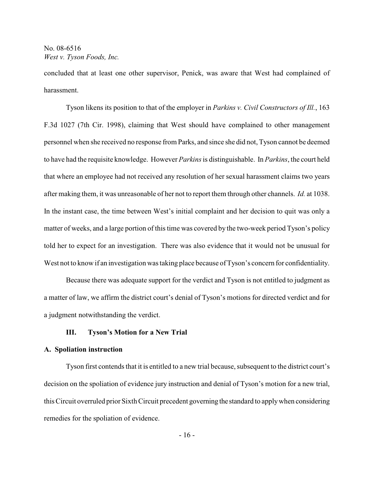concluded that at least one other supervisor, Penick, was aware that West had complained of harassment.

Tyson likens its position to that of the employer in *Parkins v. Civil Constructors of Ill.*, 163 F.3d 1027 (7th Cir. 1998), claiming that West should have complained to other management personnel when she received no response from Parks, and since she did not, Tyson cannot be deemed to have had the requisite knowledge. However *Parkins*is distinguishable. In *Parkins*, the court held that where an employee had not received any resolution of her sexual harassment claims two years after making them, it was unreasonable of her not to report them through other channels. *Id.* at 1038. In the instant case, the time between West's initial complaint and her decision to quit was only a matter of weeks, and a large portion of this time was covered by the two-week period Tyson's policy told her to expect for an investigation. There was also evidence that it would not be unusual for West not to know if an investigation was taking place because of Tyson's concern for confidentiality.

Because there was adequate support for the verdict and Tyson is not entitled to judgment as a matter of law, we affirm the district court's denial of Tyson's motions for directed verdict and for a judgment notwithstanding the verdict.

### **III. Tyson's Motion for a New Trial**

#### **A. Spoliation instruction**

Tyson first contends that it is entitled to a new trial because, subsequent to the district court's decision on the spoliation of evidence jury instruction and denial of Tyson's motion for a new trial, this Circuit overruled prior Sixth Circuit precedent governing the standard to apply when considering remedies for the spoliation of evidence.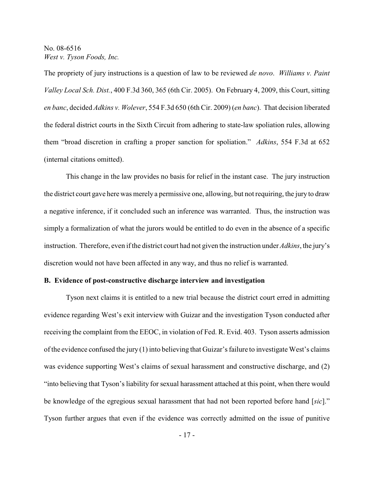The propriety of jury instructions is a question of law to be reviewed *de novo*. *Williams v. Paint Valley Local Sch. Dist.*, 400 F.3d 360, 365 (6th Cir. 2005). On February 4, 2009, this Court, sitting *en banc*, decided *Adkins v. Wolever*, 554 F.3d 650 (6th Cir. 2009) (*en banc*). That decision liberated the federal district courts in the Sixth Circuit from adhering to state-law spoliation rules, allowing them "broad discretion in crafting a proper sanction for spoliation." *Adkins*, 554 F.3d at 652 (internal citations omitted).

This change in the law provides no basis for relief in the instant case. The jury instruction the district court gave here was merely a permissive one, allowing, but not requiring, the jury to draw a negative inference, if it concluded such an inference was warranted. Thus, the instruction was simply a formalization of what the jurors would be entitled to do even in the absence of a specific instruction. Therefore, even if the district court had not given the instruction under *Adkins*, the jury's discretion would not have been affected in any way, and thus no relief is warranted.

### **B. Evidence of post-constructive discharge interview and investigation**

Tyson next claims it is entitled to a new trial because the district court erred in admitting evidence regarding West's exit interview with Guizar and the investigation Tyson conducted after receiving the complaint from the EEOC, in violation of Fed. R. Evid. 403. Tyson asserts admission of the evidence confused the jury  $(1)$  into believing that Guizar's failure to investigate West's claims was evidence supporting West's claims of sexual harassment and constructive discharge, and (2) "into believing that Tyson's liability for sexual harassment attached at this point, when there would be knowledge of the egregious sexual harassment that had not been reported before hand [*sic*]." Tyson further argues that even if the evidence was correctly admitted on the issue of punitive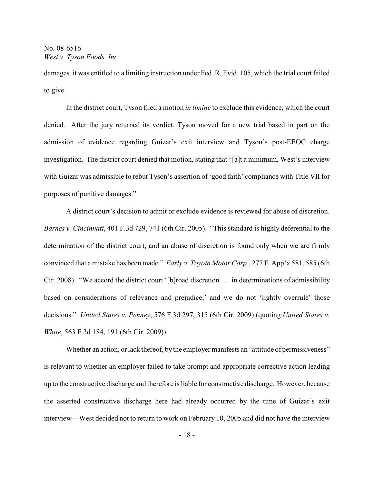damages, it was entitled to a limiting instruction under Fed. R. Evid. 105, which the trial court failed to give.

In the district court, Tyson filed a motion *in limine* to exclude this evidence, which the court denied. After the jury returned its verdict, Tyson moved for a new trial based in part on the admission of evidence regarding Guizar's exit interview and Tyson's post-EEOC charge investigation. The district court denied that motion, stating that "[a]t a minimum, West's interview with Guizar was admissible to rebut Tyson's assertion of 'good faith' compliance with Title VII for purposes of punitive damages."

A district court's decision to admit or exclude evidence is reviewed for abuse of discretion. *Barnes v. Cincinnati*, 401 F.3d 729, 741 (6th Cir. 2005). "This standard is highly deferential to the determination of the district court, and an abuse of discretion is found only when we are firmly convinced that a mistake has been made." *Early v. Toyota Motor Corp.*, 277 F. App'x 581, 585 (6th Cir. 2008). "We accord the district court '[b]road discretion . . . in determinations of admissibility based on considerations of relevance and prejudice,' and we do not 'lightly overrule' those decisions." *United States v. Penney*, 576 F.3d 297, 315 (6th Cir. 2009) (quoting *United States v. White*, 563 F.3d 184, 191 (6th Cir. 2009)).

Whether an action, or lack thereof, by the employer manifests an "attitude of permissiveness" is relevant to whether an employer failed to take prompt and appropriate corrective action leading up to the constructive discharge and therefore is liable for constructive discharge. However, because the asserted constructive discharge here had already occurred by the time of Guizar's exit interview—West decided not to return to work on February 10, 2005 and did not have the interview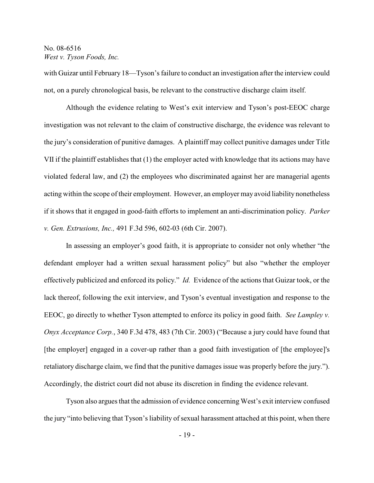with Guizar until February 18—Tyson's failure to conduct an investigation after the interview could not, on a purely chronological basis, be relevant to the constructive discharge claim itself.

Although the evidence relating to West's exit interview and Tyson's post-EEOC charge investigation was not relevant to the claim of constructive discharge, the evidence was relevant to the jury's consideration of punitive damages. A plaintiff may collect punitive damages under Title VII if the plaintiff establishes that (1) the employer acted with knowledge that its actions may have violated federal law, and (2) the employees who discriminated against her are managerial agents acting within the scope of their employment. However, an employer may avoid liability nonetheless if it shows that it engaged in good-faith efforts to implement an anti-discrimination policy. *Parker v. Gen. Extrusions, Inc.,* 491 F.3d 596, 602-03 (6th Cir. 2007).

In assessing an employer's good faith, it is appropriate to consider not only whether "the defendant employer had a written sexual harassment policy" but also "whether the employer effectively publicized and enforced its policy." *Id.* Evidence of the actions that Guizar took, or the lack thereof, following the exit interview, and Tyson's eventual investigation and response to the EEOC, go directly to whether Tyson attempted to enforce its policy in good faith. *See Lampley v. Onyx Acceptance Corp.*, 340 F.3d 478, 483 (7th Cir. 2003) ("Because a jury could have found that [the employer] engaged in a cover-up rather than a good faith investigation of [the employee]'s retaliatory discharge claim, we find that the punitive damages issue was properly before the jury."). Accordingly, the district court did not abuse its discretion in finding the evidence relevant.

Tyson also argues that the admission of evidence concerning West's exit interview confused the jury "into believing that Tyson's liability of sexual harassment attached at this point, when there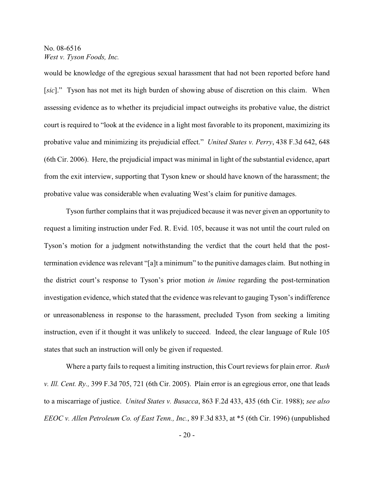would be knowledge of the egregious sexual harassment that had not been reported before hand [*sic*]." Tyson has not met its high burden of showing abuse of discretion on this claim. When assessing evidence as to whether its prejudicial impact outweighs its probative value, the district court is required to "look at the evidence in a light most favorable to its proponent, maximizing its probative value and minimizing its prejudicial effect." *United States v. Perry*, 438 F.3d 642, 648 (6th Cir. 2006). Here, the prejudicial impact was minimal in light of the substantial evidence, apart from the exit interview, supporting that Tyson knew or should have known of the harassment; the probative value was considerable when evaluating West's claim for punitive damages.

Tyson further complains that it was prejudiced because it was never given an opportunity to request a limiting instruction under Fed. R. Evid. 105, because it was not until the court ruled on Tyson's motion for a judgment notwithstanding the verdict that the court held that the posttermination evidence was relevant "[a]t a minimum" to the punitive damages claim. But nothing in the district court's response to Tyson's prior motion *in limine* regarding the post-termination investigation evidence, which stated that the evidence was relevant to gauging Tyson's indifference or unreasonableness in response to the harassment, precluded Tyson from seeking a limiting instruction, even if it thought it was unlikely to succeed. Indeed, the clear language of Rule 105 states that such an instruction will only be given if requested.

Where a party fails to request a limiting instruction, this Court reviews for plain error. *Rush v. Ill. Cent. Ry.,* 399 F.3d 705, 721 (6th Cir. 2005). Plain error is an egregious error, one that leads to a miscarriage of justice. *United States v. Busacca*, 863 F.2d 433, 435 (6th Cir. 1988); *see also EEOC v. Allen Petroleum Co. of East Tenn., Inc.*, 89 F.3d 833, at \*5 (6th Cir. 1996) (unpublished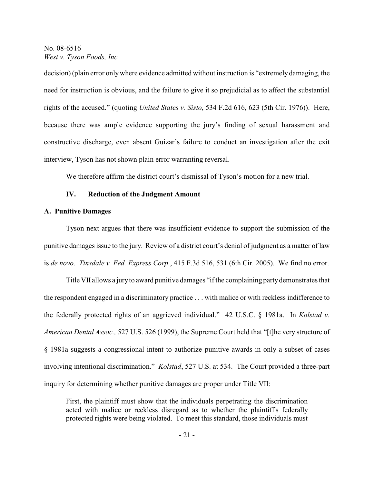decision) (plain error only where evidence admitted without instruction is "extremely damaging, the need for instruction is obvious, and the failure to give it so prejudicial as to affect the substantial rights of the accused." (quoting *United States v. Sisto*, 534 F.2d 616, 623 (5th Cir. 1976)). Here, because there was ample evidence supporting the jury's finding of sexual harassment and constructive discharge, even absent Guizar's failure to conduct an investigation after the exit interview, Tyson has not shown plain error warranting reversal.

We therefore affirm the district court's dismissal of Tyson's motion for a new trial.

### **IV. Reduction of the Judgment Amount**

#### **A. Punitive Damages**

Tyson next argues that there was insufficient evidence to support the submission of the punitive damages issue to the jury. Review of a district court's denial of judgment as a matter of law is *de novo*. *Tinsdale v. Fed. Express Corp.*, 415 F.3d 516, 531 (6th Cir. 2005). We find no error.

Title VII allows a jury to award punitive damages "if the complaining party demonstrates that the respondent engaged in a discriminatory practice . . . with malice or with reckless indifference to the federally protected rights of an aggrieved individual." 42 U.S.C. § 1981a. In *Kolstad v. American Dental Assoc.,* 527 U.S. 526 (1999), the Supreme Court held that "[t]he very structure of § 1981a suggests a congressional intent to authorize punitive awards in only a subset of cases involving intentional discrimination." *Kolstad*, 527 U.S. at 534. The Court provided a three-part inquiry for determining whether punitive damages are proper under Title VII:

First, the plaintiff must show that the individuals perpetrating the discrimination acted with malice or reckless disregard as to whether the plaintiff's federally protected rights were being violated. To meet this standard, those individuals must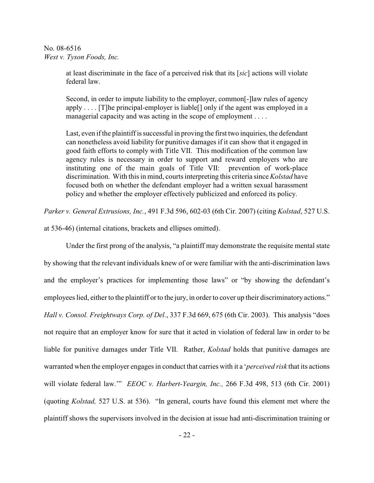> at least discriminate in the face of a perceived risk that its [*sic*] actions will violate federal law.

> Second, in order to impute liability to the employer, common[-]law rules of agency apply  $\dots$ . [T]he principal-employer is liable[] only if the agent was employed in a managerial capacity and was acting in the scope of employment . . . .

> Last, even if the plaintiff is successful in proving the first two inquiries, the defendant can nonetheless avoid liability for punitive damages if it can show that it engaged in good faith efforts to comply with Title VII. This modification of the common law agency rules is necessary in order to support and reward employers who are instituting one of the main goals of Title VII: prevention of work-place discrimination. With this in mind, courts interpreting this criteria since *Kolstad* have focused both on whether the defendant employer had a written sexual harassment policy and whether the employer effectively publicized and enforced its policy.

*Parker v. General Extrusions, Inc.*, 491 F.3d 596, 602-03 (6th Cir. 2007) (citing *Kolstad*, 527 U.S.

at 536-46) (internal citations, brackets and ellipses omitted).

Under the first prong of the analysis, "a plaintiff may demonstrate the requisite mental state by showing that the relevant individuals knew of or were familiar with the anti-discrimination laws and the employer's practices for implementing those laws" or "by showing the defendant's employees lied, either to the plaintiff or to the jury, in order to cover up their discriminatory actions." *Hall v. Consol. Freightways Corp. of Del.*, 337 F.3d 669, 675 (6th Cir. 2003). This analysis "does not require that an employer know for sure that it acted in violation of federal law in order to be liable for punitive damages under Title VII. Rather, *Kolstad* holds that punitive damages are warranted when the employer engages in conduct that carries with it a '*perceived risk* that its actions will violate federal law.'" *EEOC v. Harbert-Yeargin, Inc.,* 266 F.3d 498, 513 (6th Cir. 2001) (quoting *Kolstad,* 527 U.S. at 536). "In general, courts have found this element met where the plaintiff shows the supervisors involved in the decision at issue had anti-discrimination training or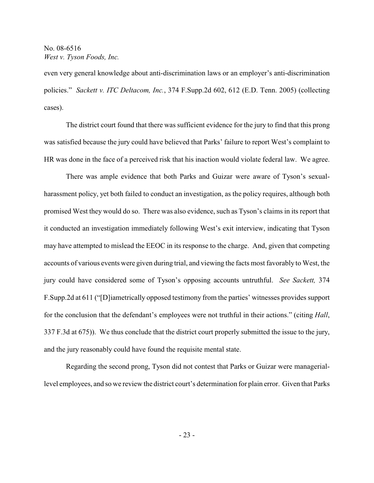even very general knowledge about anti-discrimination laws or an employer's anti-discrimination policies." *Sackett v. ITC Deltacom, Inc.*, 374 F.Supp.2d 602, 612 (E.D. Tenn. 2005) (collecting cases).

The district court found that there was sufficient evidence for the jury to find that this prong was satisfied because the jury could have believed that Parks' failure to report West's complaint to HR was done in the face of a perceived risk that his inaction would violate federal law. We agree.

There was ample evidence that both Parks and Guizar were aware of Tyson's sexualharassment policy, yet both failed to conduct an investigation, as the policy requires, although both promised West they would do so. There was also evidence, such as Tyson's claims in its report that it conducted an investigation immediately following West's exit interview, indicating that Tyson may have attempted to mislead the EEOC in its response to the charge. And, given that competing accounts of various events were given during trial, and viewing the facts most favorably to West, the jury could have considered some of Tyson's opposing accounts untruthful. *See Sackett,* 374 F.Supp.2d at 611 ("[D]iametrically opposed testimony from the parties' witnesses provides support for the conclusion that the defendant's employees were not truthful in their actions." (citing *Hall*, 337 F.3d at 675)). We thus conclude that the district court properly submitted the issue to the jury, and the jury reasonably could have found the requisite mental state.

Regarding the second prong, Tyson did not contest that Parks or Guizar were manageriallevel employees, and so we review the district court's determination for plain error. Given that Parks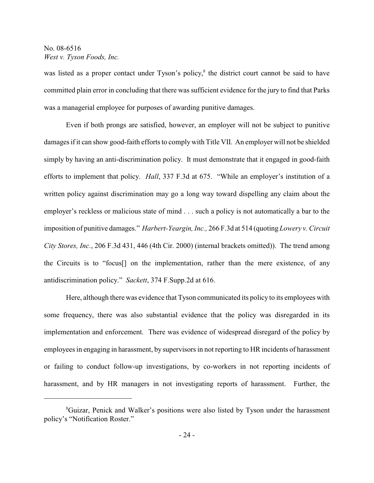was listed as a proper contact under Tyson's policy,<sup>8</sup> the district court cannot be said to have committed plain error in concluding that there was sufficient evidence for the jury to find that Parks was a managerial employee for purposes of awarding punitive damages.

Even if both prongs are satisfied, however, an employer will not be subject to punitive damages if it can show good-faith efforts to comply with Title VII. An employer will not be shielded simply by having an anti-discrimination policy. It must demonstrate that it engaged in good-faith efforts to implement that policy. *Hall*, 337 F.3d at 675. "While an employer's institution of a written policy against discrimination may go a long way toward dispelling any claim about the employer's reckless or malicious state of mind . . . such a policy is not automatically a bar to the imposition of punitive damages." *Harbert-Yeargin, Inc.,* 266 F.3d at 514 (quoting *Lowery v. Circuit City Stores, Inc.*, 206 F.3d 431, 446 (4th Cir. 2000) (internal brackets omitted)). The trend among the Circuits is to "focus[] on the implementation, rather than the mere existence, of any antidiscrimination policy." *Sackett*, 374 F.Supp.2d at 616.

Here, although there was evidence that Tyson communicated its policy to its employees with some frequency, there was also substantial evidence that the policy was disregarded in its implementation and enforcement. There was evidence of widespread disregard of the policy by employees in engaging in harassment, by supervisors in not reporting to HR incidents of harassment or failing to conduct follow-up investigations, by co-workers in not reporting incidents of harassment, and by HR managers in not investigating reports of harassment. Further, the

<sup>&</sup>lt;sup>8</sup>Guizar, Penick and Walker's positions were also listed by Tyson under the harassment policy's "Notification Roster."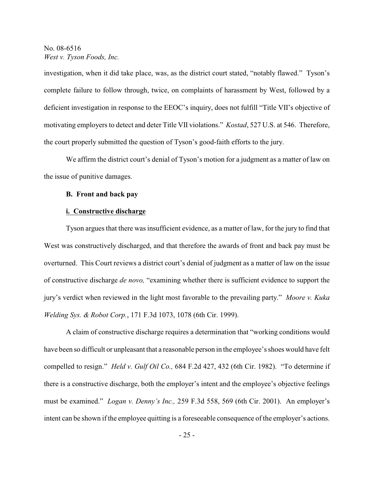investigation, when it did take place, was, as the district court stated, "notably flawed." Tyson's complete failure to follow through, twice, on complaints of harassment by West, followed by a deficient investigation in response to the EEOC's inquiry, does not fulfill "Title VII's objective of motivating employers to detect and deter Title VII violations." *Kostad*, 527 U.S. at 546. Therefore, the court properly submitted the question of Tyson's good-faith efforts to the jury.

We affirm the district court's denial of Tyson's motion for a judgment as a matter of law on the issue of punitive damages.

#### **B. Front and back pay**

### **i. Constructive discharge**

Tyson argues that there was insufficient evidence, as a matter of law, for the jury to find that West was constructively discharged, and that therefore the awards of front and back pay must be overturned. This Court reviews a district court's denial of judgment as a matter of law on the issue of constructive discharge *de novo,* "examining whether there is sufficient evidence to support the jury's verdict when reviewed in the light most favorable to the prevailing party." *Moore v. Kuka Welding Sys. & Robot Corp.*, 171 F.3d 1073, 1078 (6th Cir. 1999).

A claim of constructive discharge requires a determination that "working conditions would have been so difficult or unpleasant that a reasonable person in the employee'sshoes would have felt compelled to resign." *Held v. Gulf Oil Co.,* 684 F.2d 427, 432 (6th Cir. 1982). "To determine if there is a constructive discharge, both the employer's intent and the employee's objective feelings must be examined." *Logan v. Denny's Inc.,* 259 F.3d 558, 569 (6th Cir. 2001). An employer's intent can be shown if the employee quitting is a foreseeable consequence of the employer's actions.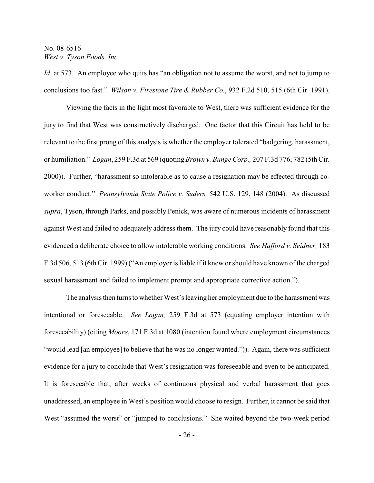*Id.* at 573. An employee who quits has "an obligation not to assume the worst, and not to jump to conclusions too fast." *Wilson v. Firestone Tire & Rubber Co.*, 932 F.2d 510, 515 (6th Cir. 1991).

Viewing the facts in the light most favorable to West, there was sufficient evidence for the jury to find that West was constructively discharged. One factor that this Circuit has held to be relevant to the first prong of this analysis is whether the employer tolerated "badgering, harassment, or humiliation." *Logan*, 259 F.3d at 569 (quoting *Brown v. Bunge Corp.,* 207 F.3d 776, 782 (5th Cir. 2000)). Further, "harassment so intolerable as to cause a resignation may be effected through coworker conduct." *Pennsylvania State Police v. Suders,* 542 U.S. 129, 148 (2004). As discussed *supra*, Tyson, through Parks, and possibly Penick, was aware of numerous incidents of harassment against West and failed to adequately address them. The jury could have reasonably found that this evidenced a deliberate choice to allow intolerable working conditions. *See Hafford v. Seidner,* 183 F.3d 506, 513 (6th Cir. 1999) ("An employer is liable if it knew or should have known of the charged sexual harassment and failed to implement prompt and appropriate corrective action.").

The analysis then turns to whether West's leaving her employment due to the harassment was intentional or foreseeable. *See Logan,* 259 F.3d at 573 (equating employer intention with foreseeability) (citing *Moore*, 171 F.3d at 1080 (intention found where employment circumstances "would lead [an employee] to believe that he was no longer wanted.")). Again, there was sufficient evidence for a jury to conclude that West's resignation was foreseeable and even to be anticipated. It is foreseeable that, after weeks of continuous physical and verbal harassment that goes unaddressed, an employee in West's position would choose to resign. Further, it cannot be said that West "assumed the worst" or "jumped to conclusions." She waited beyond the two-week period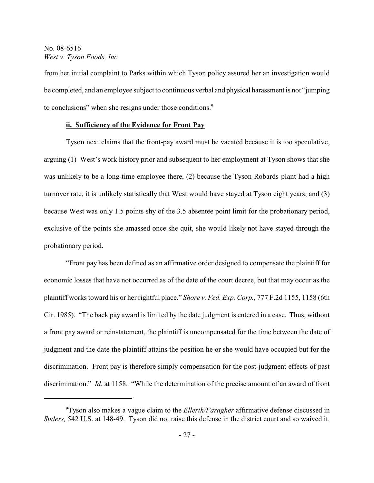from her initial complaint to Parks within which Tyson policy assured her an investigation would be completed, and an employee subject to continuous verbal and physical harassment is not "jumping to conclusions" when she resigns under those conditions.<sup>9</sup>

### **ii. Sufficiency of the Evidence for Front Pay**

Tyson next claims that the front-pay award must be vacated because it is too speculative, arguing (1) West's work history prior and subsequent to her employment at Tyson shows that she was unlikely to be a long-time employee there, (2) because the Tyson Robards plant had a high turnover rate, it is unlikely statistically that West would have stayed at Tyson eight years, and (3) because West was only 1.5 points shy of the 3.5 absentee point limit for the probationary period, exclusive of the points she amassed once she quit, she would likely not have stayed through the probationary period.

"Front pay has been defined as an affirmative order designed to compensate the plaintiff for economic losses that have not occurred as of the date of the court decree, but that may occur as the plaintiff works toward his or her rightful place." *Shore v. Fed. Exp. Corp.*, 777 F.2d 1155, 1158 (6th Cir. 1985). "The back pay award is limited by the date judgment is entered in a case. Thus, without a front pay award or reinstatement, the plaintiff is uncompensated for the time between the date of judgment and the date the plaintiff attains the position he or she would have occupied but for the discrimination. Front pay is therefore simply compensation for the post-judgment effects of past discrimination." *Id.* at 1158. "While the determination of the precise amount of an award of front

Tyson also makes a vague claim to the *Ellerth/Faragher* affirmative defense discussed in <sup>9</sup> *Suders,* 542 U.S. at 148-49. Tyson did not raise this defense in the district court and so waived it.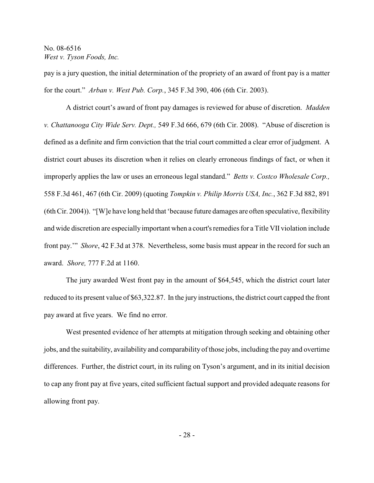pay is a jury question, the initial determination of the propriety of an award of front pay is a matter for the court." *Arban v. West Pub. Corp.*, 345 F.3d 390, 406 (6th Cir. 2003).

A district court's award of front pay damages is reviewed for abuse of discretion. *Madden v. Chattanooga City Wide Serv. Dept.,* 549 F.3d 666, 679 (6th Cir. 2008). "Abuse of discretion is defined as a definite and firm conviction that the trial court committed a clear error of judgment. A district court abuses its discretion when it relies on clearly erroneous findings of fact, or when it improperly applies the law or uses an erroneous legal standard." *Betts v. Costco Wholesale Corp.,* 558 F.3d 461, 467 (6th Cir. 2009) (quoting *Tompkin v. Philip Morris USA, Inc.*, 362 F.3d 882, 891 (6th Cir. 2004)). "[W]e have long held that 'because future damages are often speculative, flexibility and wide discretion are especially important when a court's remedies for a Title VII violation include front pay.'" *Shore*, 42 F.3d at 378. Nevertheless, some basis must appear in the record for such an award. *Shore,* 777 F.2d at 1160.

The jury awarded West front pay in the amount of \$64,545, which the district court later reduced to its present value of \$63,322.87. In the jury instructions, the district court capped the front pay award at five years. We find no error.

West presented evidence of her attempts at mitigation through seeking and obtaining other jobs, and the suitability, availability and comparability of those jobs, including the pay and overtime differences. Further, the district court, in its ruling on Tyson's argument, and in its initial decision to cap any front pay at five years, cited sufficient factual support and provided adequate reasons for allowing front pay.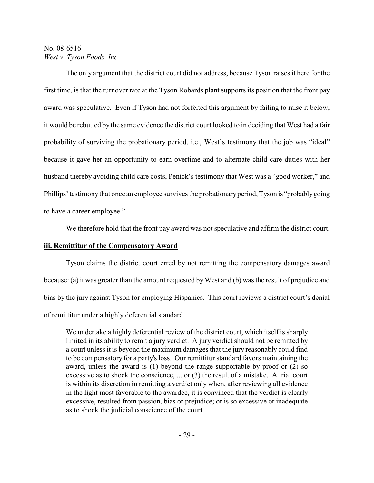The only argument that the district court did not address, because Tyson raises it here for the first time, is that the turnover rate at the Tyson Robards plant supports its position that the front pay award was speculative. Even if Tyson had not forfeited this argument by failing to raise it below, it would be rebutted by the same evidence the district court looked to in deciding that West had a fair probability of surviving the probationary period, i.e., West's testimony that the job was "ideal" because it gave her an opportunity to earn overtime and to alternate child care duties with her husband thereby avoiding child care costs, Penick's testimony that West was a "good worker," and Phillips' testimony that once an employee survives the probationary period, Tyson is "probably going to have a career employee."

We therefore hold that the front pay award was not speculative and affirm the district court.

### **iii. Remittitur of the Compensatory Award**

Tyson claims the district court erred by not remitting the compensatory damages award because: (a) it was greater than the amount requested by West and (b) was the result of prejudice and bias by the jury against Tyson for employing Hispanics. This court reviews a district court's denial of remittitur under a highly deferential standard.

We undertake a highly deferential review of the district court, which itself is sharply limited in its ability to remit a jury verdict. A jury verdict should not be remitted by a court unless it is beyond the maximum damages that the jury reasonably could find to be compensatory for a party's loss. Our remittitur standard favors maintaining the award, unless the award is (1) beyond the range supportable by proof or (2) so excessive as to shock the conscience, ... or (3) the result of a mistake. A trial court is within its discretion in remitting a verdict only when, after reviewing all evidence in the light most favorable to the awardee, it is convinced that the verdict is clearly excessive, resulted from passion, bias or prejudice; or is so excessive or inadequate as to shock the judicial conscience of the court.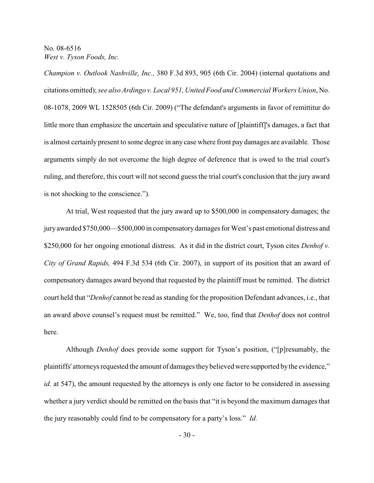*Champion v. Outlook Nashville, Inc.,* 380 F.3d 893, 905 (6th Cir. 2004) (internal quotations and citations omitted); *see also Ardingo v. Local 951, United Food and Commercial Workers Union*, No. 08-1078, 2009 WL 1528505 (6th Cir. 2009) ("The defendant's arguments in favor of remittitur do little more than emphasize the uncertain and speculative nature of [plaintiff]'s damages, a fact that is almost certainly present to some degree in any case where front pay damages are available. Those arguments simply do not overcome the high degree of deference that is owed to the trial court's ruling, and therefore, this court will not second guess the trial court's conclusion that the jury award is not shocking to the conscience.").

At trial, West requested that the jury award up to \$500,000 in compensatory damages; the jury awarded \$750,000—\$500,000 in compensatorydamages for West's past emotional distress and \$250,000 for her ongoing emotional distress. As it did in the district court, Tyson cites *Denhof v. City of Grand Rapids,* 494 F.3d 534 (6th Cir. 2007), in support of its position that an award of compensatory damages award beyond that requested by the plaintiff must be remitted. The district court held that "*Denhof* cannot be read as standing for the proposition Defendant advances, i.e., that an award above counsel's request must be remitted." We, too, find that *Denhof* does not control here.

Although *Denhof* does provide some support for Tyson's position, ("[p]resumably, the plaintiffs' attorneys requested the amount of damages they believed were supported by the evidence," *id.* at 547), the amount requested by the attorneys is only one factor to be considered in assessing whether a jury verdict should be remitted on the basis that "it is beyond the maximum damages that the jury reasonably could find to be compensatory for a party's loss." *Id.*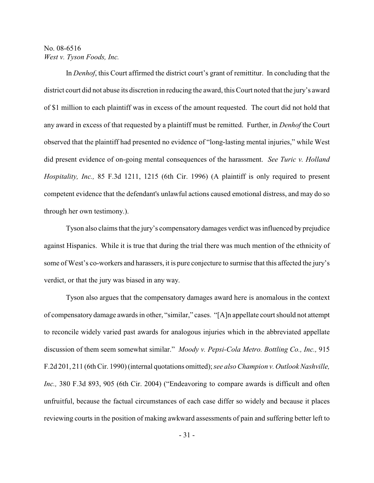In *Denhof*, this Court affirmed the district court's grant of remittitur. In concluding that the district court did not abuse its discretion in reducing the award, this Court noted that the jury's award of \$1 million to each plaintiff was in excess of the amount requested. The court did not hold that any award in excess of that requested by a plaintiff must be remitted. Further, in *Denhof* the Court observed that the plaintiff had presented no evidence of "long-lasting mental injuries," while West did present evidence of on-going mental consequences of the harassment. *See Turic v. Holland Hospitality, Inc.,* 85 F.3d 1211, 1215 (6th Cir. 1996) (A plaintiff is only required to present competent evidence that the defendant's unlawful actions caused emotional distress, and may do so through her own testimony.).

Tyson also claims that the jury's compensatory damages verdict was influenced by prejudice against Hispanics. While it is true that during the trial there was much mention of the ethnicity of some of West's co-workers and harassers, it is pure conjecture to surmise that this affected the jury's verdict, or that the jury was biased in any way.

Tyson also argues that the compensatory damages award here is anomalous in the context of compensatory damage awards in other, "similar," cases. "[A]n appellate court should not attempt to reconcile widely varied past awards for analogous injuries which in the abbreviated appellate discussion of them seem somewhat similar." *Moody v. Pepsi-Cola Metro. Bottling Co., Inc.,* 915 F.2d 201, 211 (6th Cir. 1990) (internal quotations omitted); *see also Champion v. Outlook Nashville, Inc.,* 380 F.3d 893, 905 (6th Cir. 2004) ("Endeavoring to compare awards is difficult and often unfruitful, because the factual circumstances of each case differ so widely and because it places reviewing courts in the position of making awkward assessments of pain and suffering better left to